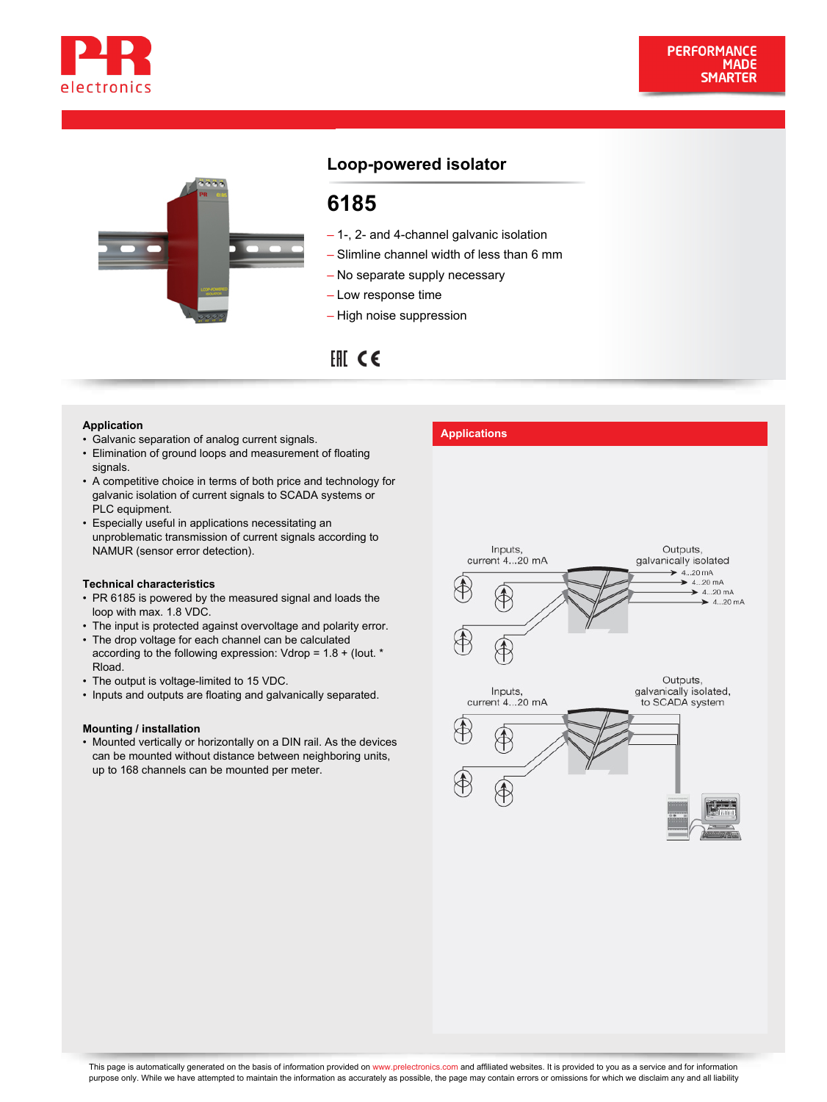



# **Loop-powered isolator**

# **6185**

- 1-, 2- and 4-channel galvanic isolation
- Slimline channel width of less than 6 mm
- No separate supply necessary
- Low response time
- High noise suppression

# $HICE$

- **Application**<br>• Galvanic separation of analog current signals. **Applications**
- Elimination of ground loops and measurement of floating signals.
- A competitive choice in terms of both price and technology for galvanic isolation of current signals to SCADA systems or PLC equipment.
- Especially useful in applications necessitating an unproblematic transmission of current signals according to NAMUR (sensor error detection).

#### **Technical characteristics**

- PR 6185 is powered by the measured signal and loads the loop with max. 1.8 VDC.
- The input is protected against overvoltage and polarity error.
- The drop voltage for each channel can be calculated according to the following expression: Vdrop = 1.8 + (Iout. \* Rload.
- The output is voltage-limited to 15 VDC.
- Inputs and outputs are floating and galvanically separated.

#### **Mounting / installation**

• Mounted vertically or horizontally on a DIN rail. As the devices can be mounted without distance between neighboring units, up to 168 channels can be mounted per meter.